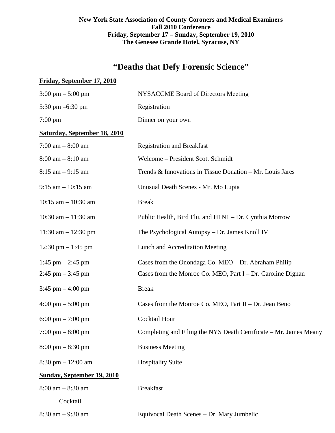# **New York State Association of County Coroners and Medical Examiners Fall 2010 Conference Friday, September 17 – Sunday, September 19, 2010 The Genesee Grande Hotel, Syracuse, NY**

# **"Deaths that Defy Forensic Science"**

## **Friday, September 17, 2010**

| $3:00 \text{ pm} - 5:00 \text{ pm}$  | NYSACCME Board of Directors Meeting                               |
|--------------------------------------|-------------------------------------------------------------------|
| 5:30 pm $-6:30$ pm                   | Registration                                                      |
| $7:00 \text{ pm}$                    | Dinner on your own                                                |
| <b>Saturday, September 18, 2010</b>  |                                                                   |
| 7:00 am $-$ 8:00 am                  | <b>Registration and Breakfast</b>                                 |
| $8:00$ am $-8:10$ am                 | Welcome - President Scott Schmidt                                 |
| $8:15$ am $-9:15$ am                 | Trends & Innovations in Tissue Donation – Mr. Louis Jares         |
| $9:15$ am $-10:15$ am                | Unusual Death Scenes - Mr. Mo Lupia                               |
| $10:15$ am $- 10:30$ am              | <b>Break</b>                                                      |
| 10:30 am $- 11:30$ am                | Public Health, Bird Flu, and H1N1 – Dr. Cynthia Morrow            |
| 11:30 am $- 12:30$ pm                | The Psychological Autopsy - Dr. James Knoll IV                    |
| 12:30 pm $-1:45$ pm                  | Lunch and Accreditation Meeting                                   |
| 1:45 pm $-$ 2:45 pm                  | Cases from the Onondaga Co. MEO – Dr. Abraham Philip              |
| $2:45$ pm $-3:45$ pm                 | Cases from the Monroe Co. MEO, Part I – Dr. Caroline Dignan       |
| $3:45$ pm $-4:00$ pm                 | <b>Break</b>                                                      |
| $4:00 \text{ pm} - 5:00 \text{ pm}$  | Cases from the Monroe Co. MEO, Part II - Dr. Jean Beno            |
| 6:00 pm $-7:00$ pm                   | Cocktail Hour                                                     |
| $7:00 \text{ pm} - 8:00 \text{ pm}$  | Completing and Filing the NYS Death Certificate – Mr. James Meany |
| $8:00 \text{ pm} - 8:30 \text{ pm}$  | <b>Business Meeting</b>                                           |
| $8:30 \text{ pm} - 12:00 \text{ am}$ | <b>Hospitality Suite</b>                                          |
| <b>Sunday, September 19, 2010</b>    |                                                                   |
| $8:00$ am $-8:30$ am                 | <b>Breakfast</b>                                                  |
| Cocktail                             |                                                                   |
| $8:30$ am $-9:30$ am                 | Equivocal Death Scenes - Dr. Mary Jumbelic                        |